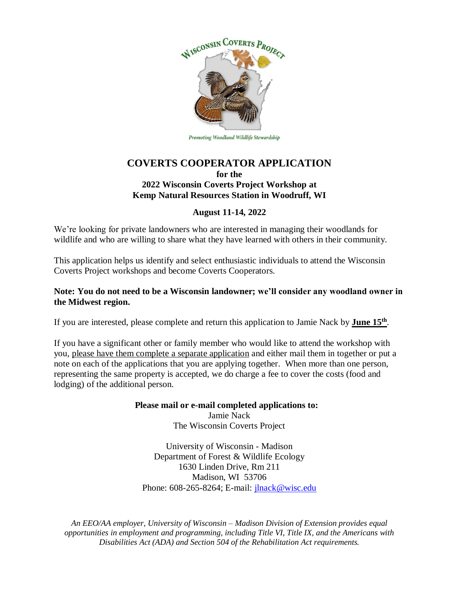

Promoting Woodland Wildlife Stewardship

## **COVERTS COOPERATOR APPLICATION for the 2022 Wisconsin Coverts Project Workshop at Kemp Natural Resources Station in Woodruff, WI**

### **August 11-14, 2022**

We're looking for private landowners who are interested in managing their woodlands for wildlife and who are willing to share what they have learned with others in their community.

This application helps us identify and select enthusiastic individuals to attend the Wisconsin Coverts Project workshops and become Coverts Cooperators.

### **Note: You do not need to be a Wisconsin landowner; we'll consider any woodland owner in the Midwest region.**

If you are interested, please complete and return this application to Jamie Nack by **June 15th** .

If you have a significant other or family member who would like to attend the workshop with you, please have them complete a separate application and either mail them in together or put a note on each of the applications that you are applying together. When more than one person, representing the same property is accepted, we do charge a fee to cover the costs (food and lodging) of the additional person.

#### **Please mail or e-mail completed applications to:** Jamie Nack

The Wisconsin Coverts Project

University of Wisconsin - Madison Department of Forest & Wildlife Ecology 1630 Linden Drive, Rm 211 Madison, WI 53706 Phone: 608-265-8264; E-mail: *jlnack@wisc.edu* 

*An EEO/AA employer, University of Wisconsin – Madison Division of Extension provides equal opportunities in employment and programming, including Title VI, Title IX, and the Americans with Disabilities Act (ADA) and Section 504 of the Rehabilitation Act requirements.*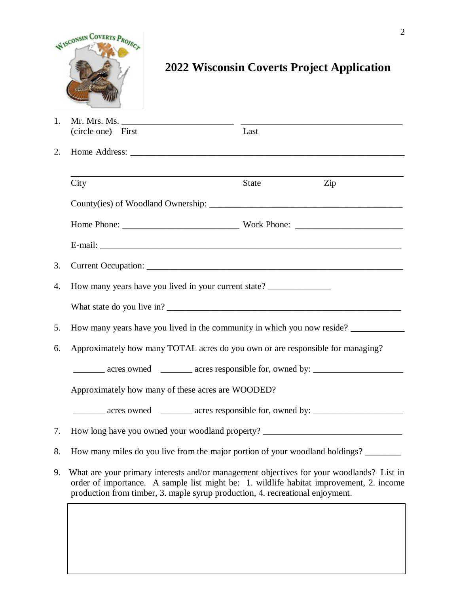

# **2022 Wisconsin Coverts Project Application**

|                | <b>STATISTICS</b>                                                                                                                                                                                                                                                    |              |     |  |  |  |  |  |
|----------------|----------------------------------------------------------------------------------------------------------------------------------------------------------------------------------------------------------------------------------------------------------------------|--------------|-----|--|--|--|--|--|
| $\mathbf{1}$ . | (circle one) First                                                                                                                                                                                                                                                   | Last         |     |  |  |  |  |  |
| 2.             |                                                                                                                                                                                                                                                                      |              |     |  |  |  |  |  |
|                | City                                                                                                                                                                                                                                                                 | <b>State</b> | Zip |  |  |  |  |  |
|                |                                                                                                                                                                                                                                                                      |              |     |  |  |  |  |  |
|                |                                                                                                                                                                                                                                                                      |              |     |  |  |  |  |  |
|                |                                                                                                                                                                                                                                                                      |              |     |  |  |  |  |  |
| 3.             |                                                                                                                                                                                                                                                                      |              |     |  |  |  |  |  |
| 4.             | How many years have you lived in your current state? ____________________________                                                                                                                                                                                    |              |     |  |  |  |  |  |
|                |                                                                                                                                                                                                                                                                      |              |     |  |  |  |  |  |
| 5.             | How many years have you lived in the community in which you now reside?                                                                                                                                                                                              |              |     |  |  |  |  |  |
| 6.             | Approximately how many TOTAL acres do you own or are responsible for managing?                                                                                                                                                                                       |              |     |  |  |  |  |  |
|                | ________ acres owned _______ acres responsible for, owned by: __________________                                                                                                                                                                                     |              |     |  |  |  |  |  |
|                | Approximately how many of these acres are WOODED?                                                                                                                                                                                                                    |              |     |  |  |  |  |  |
|                | ________ acres owned _______ acres responsible for, owned by: __________________                                                                                                                                                                                     |              |     |  |  |  |  |  |
| 7.             | How long have you owned your woodland property? ________________________________                                                                                                                                                                                     |              |     |  |  |  |  |  |
| 8.             | How many miles do you live from the major portion of your woodland holdings?                                                                                                                                                                                         |              |     |  |  |  |  |  |
| 9.             | What are your primary interests and/or management objectives for your woodlands? List in<br>order of importance. A sample list might be: 1. wildlife habitat improvement, 2. income<br>production from timber, 3. maple syrup production, 4. recreational enjoyment. |              |     |  |  |  |  |  |
|                |                                                                                                                                                                                                                                                                      |              |     |  |  |  |  |  |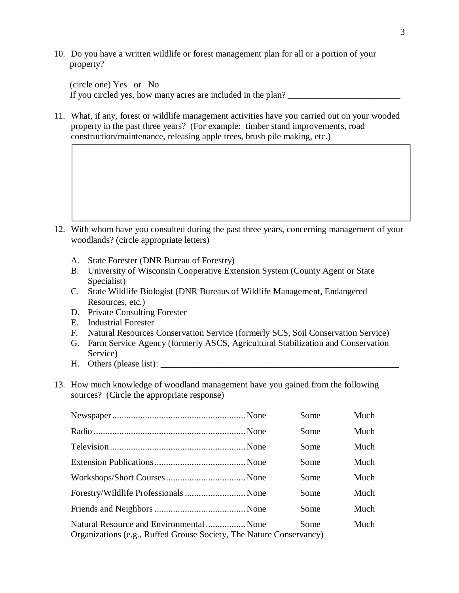10. Do you have a written wildlife or forest management plan for all or a portion of your property?

 (circle one) Yes or No If you circled yes, how many acres are included in the plan?

11. What, if any, forest or wildlife management activities have you carried out on your wooded property in the past three years? (For example: timber stand improvements, road construction/maintenance, releasing apple trees, brush pile making, etc.)

- 12. With whom have you consulted during the past three years, concerning management of your woodlands? (circle appropriate letters)
	- A. State Forester (DNR Bureau of Forestry)
	- B. University of Wisconsin Cooperative Extension System (County Agent or State Specialist)
	- C. State Wildlife Biologist (DNR Bureaus of Wildlife Management, Endangered Resources, etc.)
	- D. Private Consulting Forester
	- E. Industrial Forester
	- F. Natural Resources Conservation Service (formerly SCS, Soil Conservation Service)
	- G. Farm Service Agency (formerly ASCS, Agricultural Stabilization and Conservation Service)
	- $H.$  Others (please list):
- 13. How much knowledge of woodland management have you gained from the following sources? (Circle the appropriate response)

|                                                                                                                 | Some | Much |
|-----------------------------------------------------------------------------------------------------------------|------|------|
|                                                                                                                 | Some | Much |
|                                                                                                                 | Some | Much |
|                                                                                                                 | Some | Much |
|                                                                                                                 | Some | Much |
|                                                                                                                 | Some | Much |
|                                                                                                                 | Some | Much |
| Natural Resource and Environmental  None<br>Organizations (e.g., Ruffed Grouse Society, The Nature Conservancy) | Some | Much |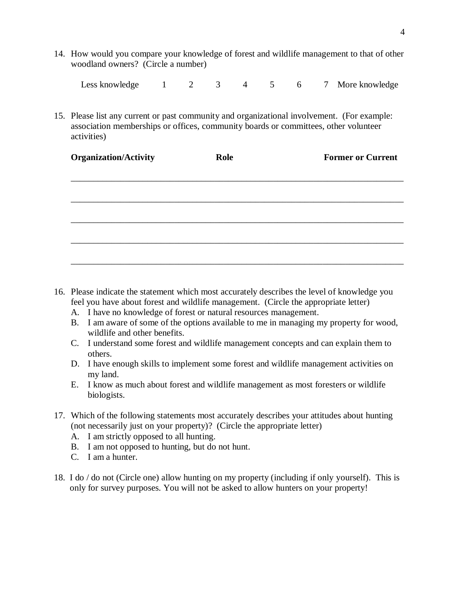14. How would you compare your knowledge of forest and wildlife management to that of other woodland owners? (Circle a number)

Less knowledge 1 2 3 4 5 6 7 More knowledge

15. Please list any current or past community and organizational involvement. (For example: association memberships or offices, community boards or committees, other volunteer activities)

| <b>Organization/Activity</b> | Role | <b>Former or Current</b> |  |  |  |  |
|------------------------------|------|--------------------------|--|--|--|--|
|                              |      |                          |  |  |  |  |
|                              |      |                          |  |  |  |  |
|                              |      |                          |  |  |  |  |
|                              |      |                          |  |  |  |  |
|                              |      |                          |  |  |  |  |
|                              |      |                          |  |  |  |  |

- 16. Please indicate the statement which most accurately describes the level of knowledge you feel you have about forest and wildlife management. (Circle the appropriate letter)
	- A. I have no knowledge of forest or natural resources management.
	- B. I am aware of some of the options available to me in managing my property for wood, wildlife and other benefits.
	- C. I understand some forest and wildlife management concepts and can explain them to others.
	- D. I have enough skills to implement some forest and wildlife management activities on my land.
	- E. I know as much about forest and wildlife management as most foresters or wildlife biologists.
- 17. Which of the following statements most accurately describes your attitudes about hunting (not necessarily just on your property)? (Circle the appropriate letter)
	- A. I am strictly opposed to all hunting.
	- B. I am not opposed to hunting, but do not hunt.
	- C. I am a hunter.
- 18. I do / do not (Circle one) allow hunting on my property (including if only yourself). This is only for survey purposes. You will not be asked to allow hunters on your property!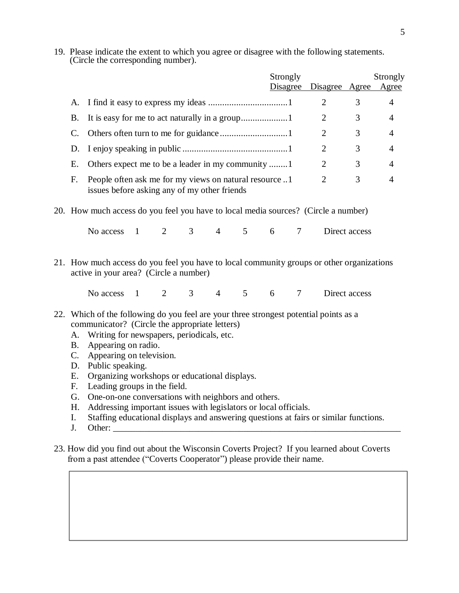19. Please indicate the extent to which you agree or disagree with the following statements. (Circle the corresponding number).

|                                                                                                                   |    |                                                                                    |  |   |   |                |   |          | Strongly |                |               | Strongly       |  |  |
|-------------------------------------------------------------------------------------------------------------------|----|------------------------------------------------------------------------------------|--|---|---|----------------|---|----------|----------|----------------|---------------|----------------|--|--|
|                                                                                                                   |    |                                                                                    |  |   |   |                |   | Disagree |          | Disagree Agree |               | Agree          |  |  |
|                                                                                                                   |    |                                                                                    |  |   |   |                |   |          |          | 2              | 3             | 4              |  |  |
|                                                                                                                   |    |                                                                                    |  |   |   |                |   |          |          | 2              | 3             | $\overline{4}$ |  |  |
|                                                                                                                   |    |                                                                                    |  |   |   |                |   |          |          | $\overline{2}$ | 3             | 4              |  |  |
|                                                                                                                   |    |                                                                                    |  |   |   |                |   |          |          | 2              | 3             | $\overline{4}$ |  |  |
|                                                                                                                   | Е. | Others expect me to be a leader in my community                                    |  |   |   |                |   |          |          | 2              | 3             | 4              |  |  |
| 2<br>People often ask me for my views on natural resource 1<br>F.<br>issues before asking any of my other friends |    |                                                                                    |  |   |   |                | 3 | 4        |          |                |               |                |  |  |
|                                                                                                                   |    | 20. How much access do you feel you have to local media sources? (Circle a number) |  |   |   |                |   |          |          |                |               |                |  |  |
|                                                                                                                   |    | No access                                                                          |  | 2 | 3 | $\overline{4}$ | 5 | 6 7      |          |                | Direct access |                |  |  |

21. How much access do you feel you have to local community groups or other organizations active in your area? (Circle a number)

No access 1 2 3 4 5 6 7 Direct access

- 22. Which of the following do you feel are your three strongest potential points as a communicator? (Circle the appropriate letters)
	- A. Writing for newspapers, periodicals, etc.
	- B. Appearing on radio.
	- C. Appearing on television.
	- D. Public speaking.
	- E. Organizing workshops or educational displays.
	- F. Leading groups in the field.
	- G. One-on-one conversations with neighbors and others.
	- H. Addressing important issues with legislators or local officials.
	- I. Staffing educational displays and answering questions at fairs or similar functions.
	- J. Other:
- 23. How did you find out about the Wisconsin Coverts Project? If you learned about Coverts from a past attendee ("Coverts Cooperator") please provide their name.